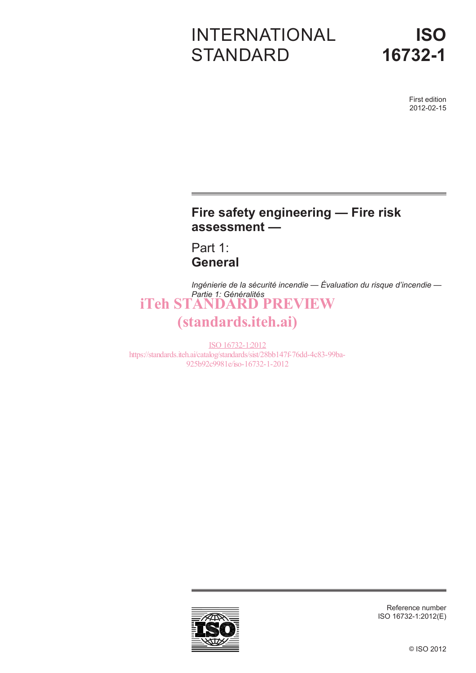# INTERNATIONAL **STANDARD**

First edition 2012-02-15

# **Fire safety engineering — Fire risk assessment —**

Part 1: **General**

*Ingénierie de la sécurité incendie — Évaluation du risque d'incendie — Partie 1: Généralités* iTeh STANDARD PREVIEW

# (standards.iteh.ai)

ISO 16732-1:2012 https://standards.iteh.ai/catalog/standards/sist/28bb147f-76dd-4c83-99ba-925b92c9981e/iso-16732-1-2012



Reference number ISO 16732-1:2012(E)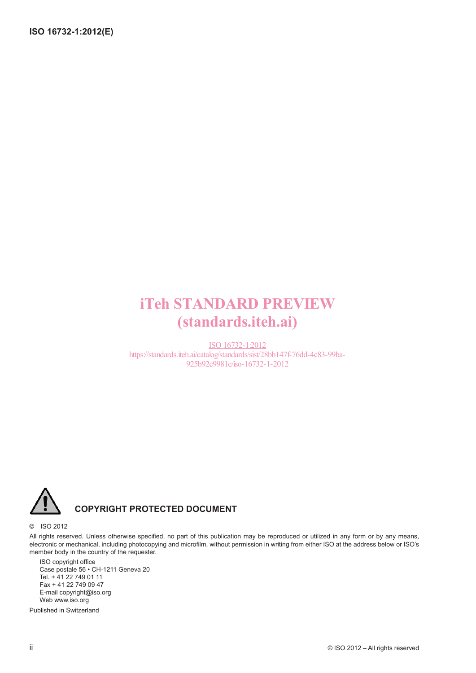# iTeh STANDARD PREVIEW (standards.iteh.ai)

ISO 16732-1:2012 https://standards.iteh.ai/catalog/standards/sist/28bb147f-76dd-4c83-99ba-925b92c9981e/iso-16732-1-2012



## **COPYRIGHT PROTECTED DOCUMENT**

#### © ISO 2012

All rights reserved. Unless otherwise specified, no part of this publication may be reproduced or utilized in any form or by any means, electronic or mechanical, including photocopying and microfilm, without permission in writing from either ISO at the address below or ISO's member body in the country of the requester.

ISO copyright office Case postale 56 • CH-1211 Geneva 20 Tel. + 41 22 749 01 11 Fax + 41 22 749 09 47 E-mail copyright@iso.org Web www.iso.org

Published in Switzerland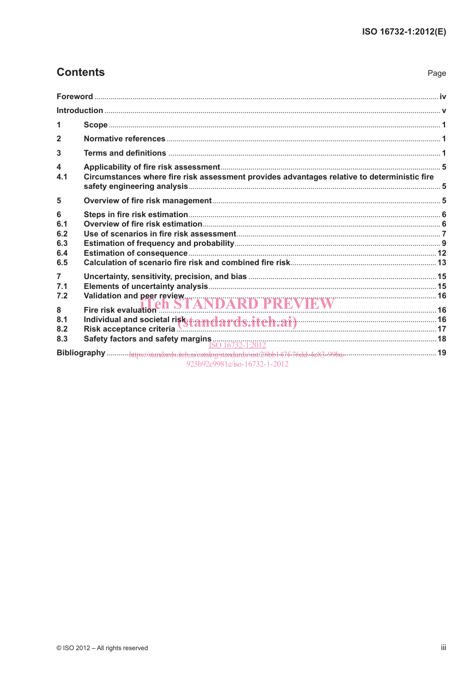Page

# **Contents**

| 1                                    |                                                                                             |  |
|--------------------------------------|---------------------------------------------------------------------------------------------|--|
| $\mathbf{2}$                         |                                                                                             |  |
| 3                                    |                                                                                             |  |
| 4<br>41                              | Circumstances where fire risk assessment provides advantages relative to deterministic fire |  |
| 5                                    |                                                                                             |  |
| 6<br>6.1<br>6.2<br>6.3<br>6.4<br>6.5 |                                                                                             |  |
| $\overline{7}$<br>7.1<br>7.2<br>8    | Validation and peer review<br>Fire risk evaluation <b>EXTANDARD PREVIEW</b>                 |  |
| 8.1<br>8.2<br>8.3                    | Individual and societal risk tandards.itch.ai)                                              |  |
|                                      | $925b92c9981e/\text{iso}-16732-1-2012$                                                      |  |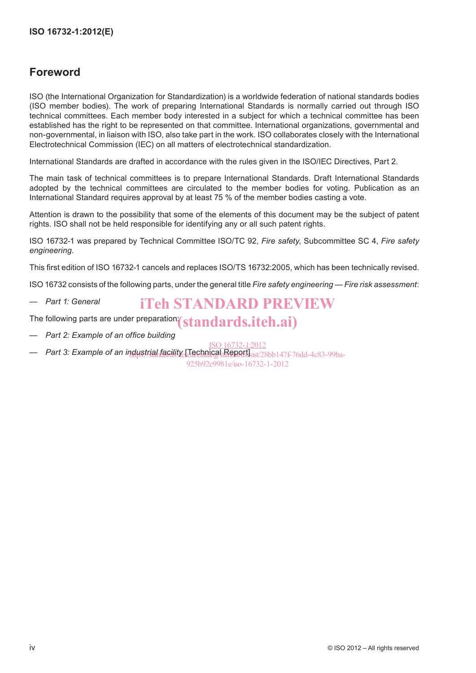## **Foreword**

ISO (the International Organization for Standardization) is a worldwide federation of national standards bodies (ISO member bodies). The work of preparing International Standards is normally carried out through ISO technical committees. Each member body interested in a subject for which a technical committee has been established has the right to be represented on that committee. International organizations, governmental and non-governmental, in liaison with ISO, also take part in the work. ISO collaborates closely with the International Electrotechnical Commission (IEC) on all matters of electrotechnical standardization.

International Standards are drafted in accordance with the rules given in the ISO/IEC Directives, Part 2.

The main task of technical committees is to prepare International Standards. Draft International Standards adopted by the technical committees are circulated to the member bodies for voting. Publication as an International Standard requires approval by at least 75 % of the member bodies casting a vote.

Attention is drawn to the possibility that some of the elements of this document may be the subject of patent rights. ISO shall not be held responsible for identifying any or all such patent rights.

ISO 16732‑1 was prepared by Technical Committee ISO/TC 92, *Fire safety*, Subcommittee SC 4, *Fire safety engineering*.

This first edition of ISO 16732-1 cancels and replaces ISO/TS 16732:2005, which has been technically revised.

ISO 16732 consists of the following parts, under the general title *Fire safety engineering — Fire risk assessment*:

— *Part 1: General* iTeh STANDARD PREVIEW

The following parts are under preparation: $(\bf standard s.itch. ai)$ 

- *Part 2: Example of an office building*
- *Part 3: Example of an industrial facility* [Technical Report]  $\frac{1}{\text{Ker}}$  28bb147f-76dd-4c83-99ba-ISO 16732-1:2012 925b92c9981e/iso-16732-1-2012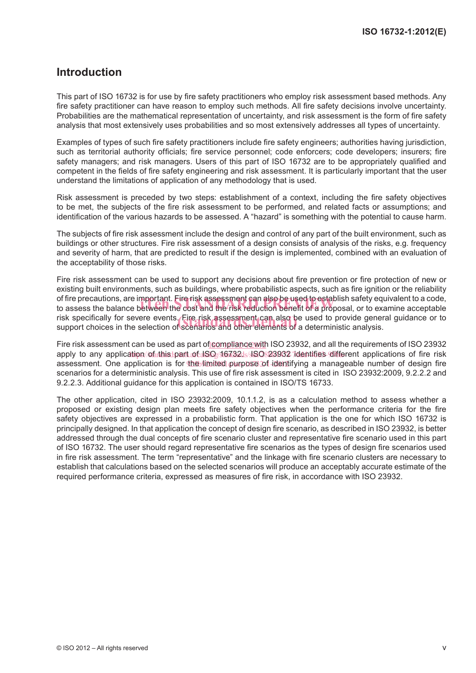## **Introduction**

This part of ISO 16732 is for use by fire safety practitioners who employ risk assessment based methods. Any fire safety practitioner can have reason to employ such methods. All fire safety decisions involve uncertainty. Probabilities are the mathematical representation of uncertainty, and risk assessment is the form of fire safety analysis that most extensively uses probabilities and so most extensively addresses all types of uncertainty.

Examples of types of such fire safety practitioners include fire safety engineers; authorities having jurisdiction, such as territorial authority officials; fire service personnel; code enforcers; code developers; insurers; fire safety managers; and risk managers. Users of this part of ISO 16732 are to be appropriately qualified and competent in the fields of fire safety engineering and risk assessment. It is particularly important that the user understand the limitations of application of any methodology that is used.

Risk assessment is preceded by two steps: establishment of a context, including the fire safety objectives to be met, the subjects of the fire risk assessment to be performed, and related facts or assumptions; and identification of the various hazards to be assessed. A "hazard" is something with the potential to cause harm.

The subjects of fire risk assessment include the design and control of any part of the built environment, such as buildings or other structures. Fire risk assessment of a design consists of analysis of the risks, e.g. frequency and severity of harm, that are predicted to result if the design is implemented, combined with an evaluation of the acceptability of those risks.

Fire risk assessment can be used to support any decisions about fire prevention or fire protection of new or existing built environments, such as buildings, where probabilistic aspects, such as fire ignition or the reliability of fire precautions, are important. Fire risk assessment can also be used to establish safety equivalent to a code, of fire precautions, are important. Fire risk assessment can also be used to establish safety equivalent to a code,<br>to assess the balance between the cost and the risk reduction benefit of a proposal, or to examine accepta risk specifically for severe events. Fire risk assessment can also be used to provide general guidance or to<br>support choices in the selection of scenarios and other elements of a deterministic analysis. support choices in the selection of scenarios and other elements of a deterministic analysis.

Fire risk assessment can be used as part of compliance with ISO 23932, and all the requirements of ISO 23932 apply to any application/of this part of ISO 467321s/JSO 23932 identifies different applications of fire risk assessment. One application is for the limited purpose of identifying a manageable number of design fire scenarios for a deterministic analysis. This use of fire risk assessment is cited in ISO 23932:2009, 9.2.2.2 and 9.2.2.3. Additional guidance for this application is contained in ISO/TS 16733.

The other application, cited in ISO 23932:2009, 10.1.1.2, is as a calculation method to assess whether a proposed or existing design plan meets fire safety objectives when the performance criteria for the fire safety objectives are expressed in a probabilistic form. That application is the one for which ISO 16732 is principally designed. In that application the concept of design fire scenario, as described in ISO 23932, is better addressed through the dual concepts of fire scenario cluster and representative fire scenario used in this part of ISO 16732. The user should regard representative fire scenarios as the types of design fire scenarios used in fire risk assessment. The term "representative" and the linkage with fire scenario clusters are necessary to establish that calculations based on the selected scenarios will produce an acceptably accurate estimate of the required performance criteria, expressed as measures of fire risk, in accordance with ISO 23932.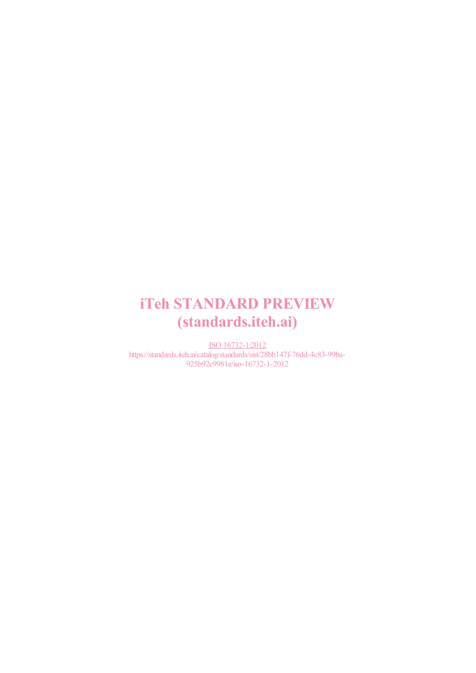# iTeh STANDARD PREVIEW (standards.iteh.ai)

ISO 16732-1:2012 https://standards.iteh.ai/catalog/standards/sist/28bb147f-76dd-4c83-99ba-925b92c9981e/iso-16732-1-2012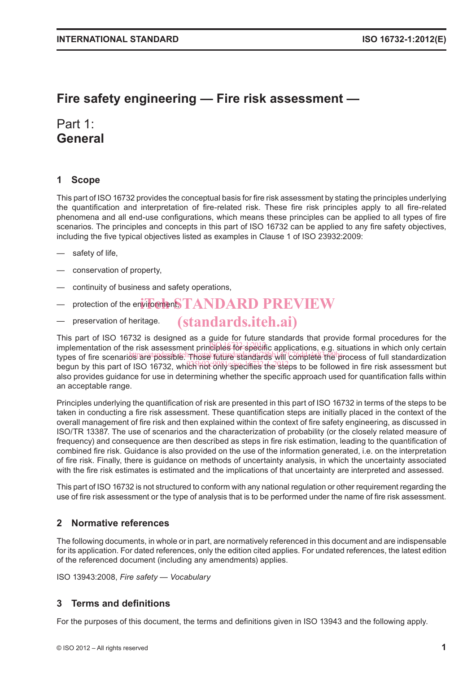## **Fire safety engineering — Fire risk assessment —**

Part 1: **General**

### **1 Scope**

This part of ISO 16732 provides the conceptual basis for fire risk assessment by stating the principles underlying the quantification and interpretation of fire-related risk. These fire risk principles apply to all fire-related phenomena and all end-use configurations, which means these principles can be applied to all types of fire scenarios. The principles and concepts in this part of ISO 16732 can be applied to any fire safety objectives, including the five typical objectives listed as examples in Clause 1 of ISO 23932:2009:

- safety of life.
- conservation of property,
- continuity of business and safety operations,
- $-$  protection of the environment, TANDARD PREVIEW
- preservation of heritage. (standards.iteh.ai)

This part of ISO 16732 is designed as a guide for future standards that provide formal procedures for the implementation of the risk assessment principles for specific applications, e.g. situations in which only certain types of fire scenarios are possible. Those future standards will complete the process of full standardization begun by this part of ISO 16732, which not only specifies the steps to be followed in fire risk assessment but also provides guidance for use in determining whether the specific approach used for quantification falls within an acceptable range.

Principles underlying the quantification of risk are presented in this part of ISO 16732 in terms of the steps to be taken in conducting a fire risk assessment. These quantification steps are initially placed in the context of the overall management of fire risk and then explained within the context of fire safety engineering, as discussed in ISO/TR 13387. The use of scenarios and the characterization of probability (or the closely related measure of frequency) and consequence are then described as steps in fire risk estimation, leading to the quantification of combined fire risk. Guidance is also provided on the use of the information generated, i.e. on the interpretation of fire risk. Finally, there is guidance on methods of uncertainty analysis, in which the uncertainty associated with the fire risk estimates is estimated and the implications of that uncertainty are interpreted and assessed.

This part of ISO 16732 is not structured to conform with any national regulation or other requirement regarding the use of fire risk assessment or the type of analysis that is to be performed under the name of fire risk assessment.

## **2 Normative references**

The following documents, in whole or in part, are normatively referenced in this document and are indispensable for its application. For dated references, only the edition cited applies. For undated references, the latest edition of the referenced document (including any amendments) applies.

ISO 13943:2008, *Fire safety — Vocabulary*

## **3 Terms and definitions**

For the purposes of this document, the terms and definitions given in ISO 13943 and the following apply.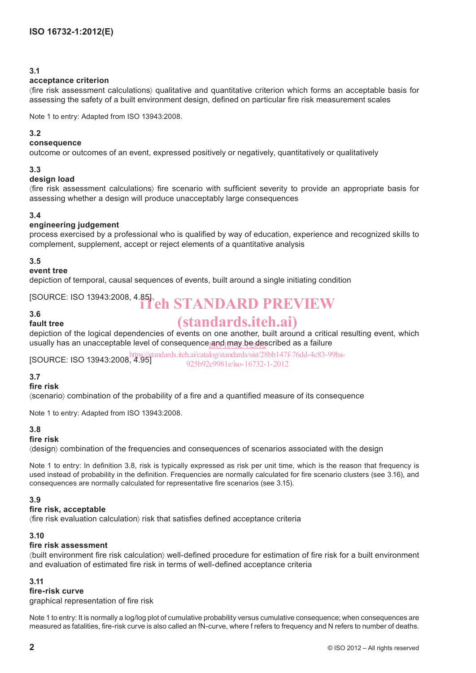#### **3.1**

#### **acceptance criterion**

〈fire risk assessment calculations〉 qualitative and quantitative criterion which forms an acceptable basis for assessing the safety of a built environment design, defined on particular fire risk measurement scales

Note 1 to entry: Adapted from ISO 13943:2008.

#### **3.2**

#### **consequence**

outcome or outcomes of an event, expressed positively or negatively, quantitatively or qualitatively

#### **3.3**

#### **design load**

〈fire risk assessment calculations〉 fire scenario with sufficient severity to provide an appropriate basis for assessing whether a design will produce unacceptably large consequences

#### **3.4**

#### **engineering judgement**

process exercised by a professional who is qualified by way of education, experience and recognized skills to complement, supplement, accept or reject elements of a quantitative analysis

#### **3.5**

#### **event tree**

depiction of temporal, causal sequences of events, built around a single initiating condition

# [SOURCE: ISO 13943:2008, 4.85]<br>**http://www.profile.org/Education/STANDARD PREVIEW**

#### **3.6**

**fault tree**

# (standards.iteh.ai)

depiction of the logical dependencies of events on one another, built around a critical resulting event, which usually has an unacceptable level of consequence<sub>∐</sub>and may be described as a failure

 $[SOURCE: ISO 13943:2008, 4.95]$ 925b92c9981e/iso-16732-1-2012

#### **3.7**

#### **fire risk**

〈scenario〉 combination of the probability of a fire and a quantified measure of its consequence

Note 1 to entry: Adapted from ISO 13943:2008.

#### **3.8**

#### **fire risk**

〈design〉 combination of the frequencies and consequences of scenarios associated with the design

Note 1 to entry: In definition 3.8, risk is typically expressed as risk per unit time, which is the reason that frequency is used instead of probability in the definition. Frequencies are normally calculated for fire scenario clusters (see 3.16), and consequences are normally calculated for representative fire scenarios (see 3.15).

#### **3.9**

#### **fire risk, acceptable**

〈fire risk evaluation calculation〉 risk that satisfies defined acceptance criteria

#### **3.10**

#### **fire risk assessment**

〈built environment fire risk calculation〉 well-defined procedure for estimation of fire risk for a built environment and evaluation of estimated fire risk in terms of well-defined acceptance criteria

#### **3.11**

#### **fire-risk curve**

graphical representation of fire risk

Note 1 to entry: It is normally a log/log plot of cumulative probability versus cumulative consequence; when consequences are measured as fatalities, fire-risk curve is also called an fN-curve, where f refers to frequency and N refers to number of deaths.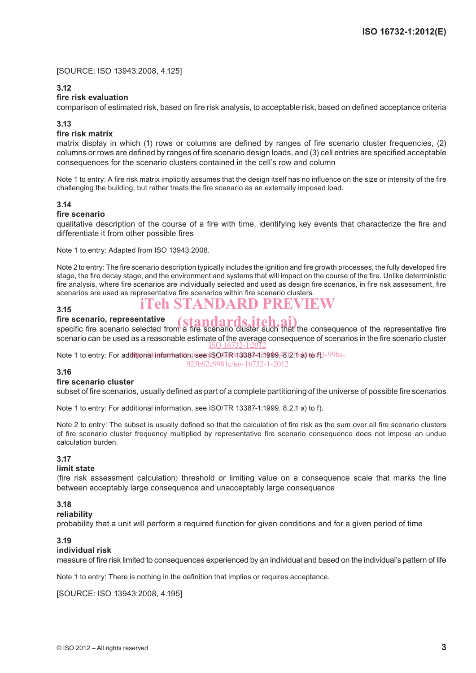[SOURCE: ISO 13943:2008, 4.125]

#### **3.12**

#### **fire risk evaluation**

comparison of estimated risk, based on fire risk analysis, to acceptable risk, based on defined acceptance criteria

#### **3.13**

#### **fire risk matrix**

matrix display in which (1) rows or columns are defined by ranges of fire scenario cluster frequencies, (2) columns or rows are defined by ranges of fire scenario design loads, and (3) cell entries are specified acceptable consequences for the scenario clusters contained in the cell's row and column

Note 1 to entry: A fire risk matrix implicitly assumes that the design itself has no influence on the size or intensity of the fire challenging the building, but rather treats the fire scenario as an externally imposed load.

#### **3.14**

#### **fire scenario**

qualitative description of the course of a fire with time, identifying key events that characterize the fire and differentiate it from other possible fires

Note 1 to entry: Adapted from ISO 13943:2008.

Note 2 to entry: The fire scenario description typically includes the ignition and fire growth processes, the fully developed fire stage, the fire decay stage, and the environment and systems that will impact on the course of the fire. Unlike deterministic fire analysis, where fire scenarios are individually selected and used as design fire scenarios, in fire risk assessment, fire scenarios are used as representative fire scenarios within fire scenario clusters.

#### **3.15**

# iTeh STANDARD PREVIEW

**fire scenario, representative** fire scenario, representative<br>specific fire scenario selected from a fire scenario cluster such that the consequence of the representative fire scenario can be used as a reasonable estimate of the average consequence of scenarios in the fire scenario cluster<br><u>ISO 16732-1:2012</u>

Note 1 to entry: For additionatanformation, isee ISO/TRIa3387st2f999,48f276a) to f)3-99ba-925b92c9981e/iso-16732-1-2012

#### **3.16**

#### **fire scenario cluster**

subset of fire scenarios, usually defined as part of a complete partitioning of the universe of possible fire scenarios

Note 1 to entry: For additional information, see ISO/TR 13387-1:1999, 8.2.1 a) to f).

Note 2 to entry: The subset is usually defined so that the calculation of fire risk as the sum over all fire scenario clusters of fire scenario cluster frequency multiplied by representative fire scenario consequence does not impose an undue calculation burden.

#### **3.17**

#### **limit state**

〈fire risk assessment calculation〉 threshold or limiting value on a consequence scale that marks the line between acceptably large consequence and unacceptably large consequence

#### **3.18**

#### **reliability**

probability that a unit will perform a required function for given conditions and for a given period of time

#### **3.19**

#### **individual risk**

measure of fire risk limited to consequences experienced by an individual and based on the individual's pattern of life

Note 1 to entry: There is nothing in the definition that implies or requires acceptance.

[SOURCE: ISO 13943:2008, 4.195]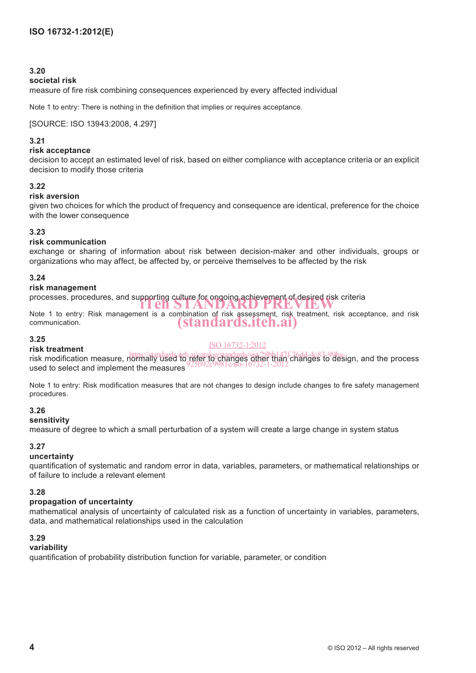#### **3.20**

#### **societal risk**

measure of fire risk combining consequences experienced by every affected individual

Note 1 to entry: There is nothing in the definition that implies or requires acceptance.

[SOURCE: ISO 13943:2008, 4.297]

#### **3.21**

#### **risk acceptance**

decision to accept an estimated level of risk, based on either compliance with acceptance criteria or an explicit decision to modify those criteria

#### **3.22**

#### **risk aversion**

given two choices for which the product of frequency and consequence are identical, preference for the choice with the lower consequence

#### **3.23**

### **risk communication**

exchange or sharing of information about risk between decision-maker and other individuals, groups or organizations who may affect, be affected by, or perceive themselves to be affected by the risk

#### **3.24**

#### **risk management**

processes, procedures, and supporting culture for ongoing achievement of desired risk criteria<br> **Teh STANDARD PREVIEW** 

Note 1 to entry: Risk management is a combination of risk assessment, risk treatment, risk acceptance, and risk communication. (standards.iteh.ai)

#### **3.25**

### ISO 16732-1:2012

**risk treatment** risk modification measure, https://standards.iteh.ai/catalog/standards/sist/28bb147f-76dd-4c83-99ba-<br>risk modification measure, normally used to refer to changes other than changes to design, and the process used to select and implement the measures 925b92c9981e/iso-16732-1-2012

Note 1 to entry: Risk modification measures that are not changes to design include changes to fire safety management procedures.

#### **3.26**

#### **sensitivity**

measure of degree to which a small perturbation of a system will create a large change in system status

#### **3.27**

#### **uncertainty**

quantification of systematic and random error in data, variables, parameters, or mathematical relationships or of failure to include a relevant element

#### **3.28**

#### **propagation of uncertainty**

mathematical analysis of uncertainty of calculated risk as a function of uncertainty in variables, parameters, data, and mathematical relationships used in the calculation

#### **3.29**

#### **variability**

quantification of probability distribution function for variable, parameter, or condition